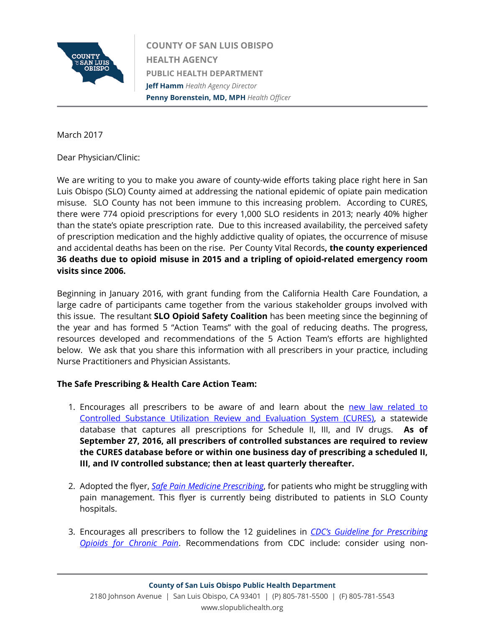

**COUNTY OF SAN LUIS OBISPO HEALTH AGENCY PUBLIC HEALTH DEPARTMENT Jeff Hamm** *Health Agency Director* **Penny Borenstein, MD, MPH** *Health Officer*

March 2017

Dear Physician/Clinic:

We are writing to you to make you aware of county-wide efforts taking place right here in San Luis Obispo (SLO) County aimed at addressing the national epidemic of opiate pain medication misuse. SLO County has not been immune to this increasing problem. According to CURES, there were 774 opioid prescriptions for every 1,000 SLO residents in 2013; nearly 40% higher than the state's opiate prescription rate.Due to this increased availability, the perceived safety of prescription medication and the highly addictive quality of opiates, the occurrence of misuse and accidental deaths has been on the rise. Per County Vital Records**, the county experienced 36 deaths due to opioid misuse in 2015 and a tripling of opioid-related emergency room visits since 2006.**

Beginning in January 2016, with grant funding from the California Health Care Foundation, a large cadre of participants came together from the various stakeholder groups involved with this issue. The resultant **SLO Opioid Safety Coalition** has been meeting since the beginning of the year and has formed 5 "Action Teams" with the goal of reducing deaths. The progress, resources developed and recommendations of the 5 Action Team's efforts are highlighted below. We ask that you share this information with all prescribers in your practice, including Nurse Practitioners and Physician Assistants.

# **The Safe Prescribing & Health Care Action Team:**

- 1. Encourages all prescribers to be aware of and learn about the [new law related to](http://leginfo.legislature.ca.gov/faces/billNavClient.xhtml?bill_id=201520160SB482)  [Controlled Substance Utilization Review and Evaluation System \(CURES\),](http://leginfo.legislature.ca.gov/faces/billNavClient.xhtml?bill_id=201520160SB482) a statewide database that captures all prescriptions for Schedule II, III, and IV drugs. **As of September 27, 2016, all prescribers of controlled substances are required to review the CURES database before or within one business day of prescribing a scheduled II, III, and IV controlled substance; then at least quarterly thereafter.**
- 2. Adopted the flyer, *[Safe Pain Medicine Prescribing](http://www.slocounty.ca.gov/Assets/PH/Opioid+Coalition/Safe+Prescribing+Flyer.pdf)*, for patients who might be struggling with pain management. This flyer is currently being distributed to patients in SLO County hospitals.
- 3. Encourages all prescribers to follow the 12 guidelines in *[CDC's Guideline for Prescribing](https://www.cdc.gov/drugoverdose/pdf/guidelines_factsheet-a.pdf)  [Opioids for Chronic Pain](https://www.cdc.gov/drugoverdose/pdf/guidelines_factsheet-a.pdf)*. Recommendations from CDC include: consider using non-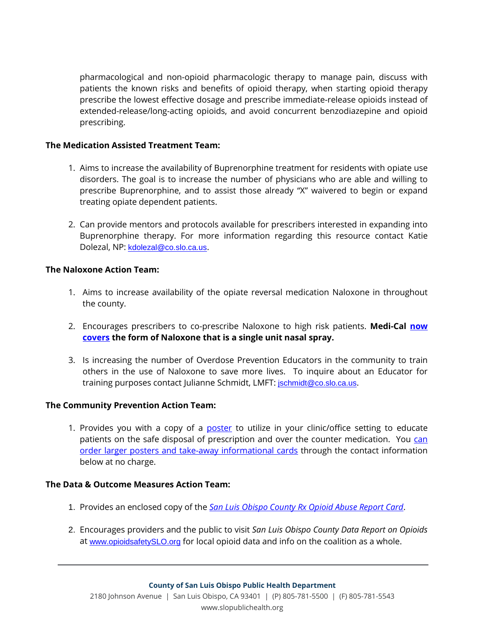pharmacological and non-opioid pharmacologic therapy to manage pain, discuss with patients the known risks and benefits of opioid therapy, when starting opioid therapy prescribe the lowest effective dosage and prescribe immediate-release opioids instead of extended-release/long-acting opioids, and avoid concurrent benzodiazepine and opioid prescribing.

### **The Medication Assisted Treatment Team:**

- 1. Aims to increase the availability of Buprenorphine treatment for residents with opiate use disorders. The goal is to increase the number of physicians who are able and willing to prescribe Buprenorphine, and to assist those already "X" waivered to begin or expand treating opiate dependent patients.
- 2. Can provide mentors and protocols available for prescribers interested in expanding into Buprenorphine therapy. For more information regarding this resource contact Katie Dolezal, NP: [kdolezal@co.slo.ca.us](mailto:kdolezal@co.slo.ca.us).

#### **The Naloxone Action Team:**

- 1. Aims to increase availability of the opiate reversal medication Naloxone in throughout the county.
- 2. Encourages prescribers to co-prescribe Naloxone to high risk patients. **Medi-Cal [now](http://adaptpharma.com/adapt_press_release/october-5-2016-adapt-pharma-announces-narcan-coverage-with-californias-medi-cal-program/)  [covers](http://adaptpharma.com/adapt_press_release/october-5-2016-adapt-pharma-announces-narcan-coverage-with-californias-medi-cal-program/) the form of Naloxone that is a single unit nasal spray.**
- 3. Is increasing the number of Overdose Prevention Educators in the community to train others in the use of Naloxone to save more lives. To inquire about an Educator for training purposes contact Julianne Schmidt, LMFT: [jschmidt@co.slo.ca.us](mailto:jschmidt@co.slo.ca.us).

## **The Community Prevention Action Team:**

1. Provides you with a copy of a [poster](http://www.slocounty.ca.gov/Assets/PH/Opioid+Coalition/Safe+Rx+Disposal+Flyer.pdf) to utilize in your clinic/office setting to educate patients on the safe disposal of prescription and over the counter medication. You can [order larger posters and take-away informational cards](http://communityprevention.opioidsafetyslo.org/) through the contact information below at no charge.

#### **The Data & Outcome Measures Action Team:**

- 1. Provides an enclosed copy of the *[San Luis Obispo County Rx Opioid Abuse Report Card](http://www.slocounty.ca.gov/Assets/PH/Opioid+Coalition/SLO+Rx+Abuse+Report+Card.pdf)*.
- 2. Encourages providers and the public to visit *San Luis Obispo County Data Report on Opioids* at [www.opioidsafetySLO.org](http://www.opioidsafetyslo.org/) for local opioid data and info on the coalition as a whole.